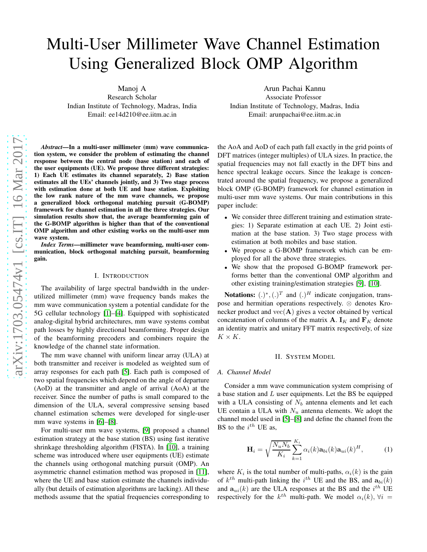# Multi-User Millimeter Wave Channel Estimation Using Generalized Block OMP Algorithm

Manoj A

Research Scholar Indian Institute of Technology, Madras, India Email: ee14d210@ee.iitm.ac.in

*Abstract*—In a multi-user millimeter (mm) wave communication system, we consider the problem of estimating the channel response between the central node (base station) and each of the user equipments (UE). We propose three different strategies: 1) Each UE estimates its channel separately, 2) Base station estimates all the UEs' channels jointly, and 3) Two stage process with estimation done at both UE and base station. Exploiting the low rank nature of the mm wave channels, we propose a generalized block orthogonal matching pursuit (G-BOMP) framework for channel estimation in all the three strategies. Our simulation results show that, the average beamforming gain of the G-BOMP algorithm is higher than that of the conventional OMP algorithm and other existing works on the multi-user mm wave system.

*Index Terms*—millimeter wave beamforming, multi-user communication, block orthogonal matching pursuit, beamforming gain.

# I. INTRODUCTION

The availability of large spectral bandwidth in the underutilized millimeter (mm) wave frequency bands makes the mm wave communication system a potential candidate for the 5G cellular technology [\[1\]](#page-4-0)–[\[4\]](#page-4-1). Equipped with sophisticated analog-digital hybrid architectures, mm wave systems combat path losses by highly directional beamforming. Proper design of the beamforming precoders and combiners require the knowledge of the channel state information.

The mm wave channel with uniform linear array (ULA) at both transmitter and receiver is modeled as weighted sum of array responses for each path [\[5\]](#page-4-2). Each path is composed of two spatial frequencies which depend on the angle of departure (AoD) at the transmitter and angle of arrival (AoA) at the receiver. Since the number of paths is small compared to the dimension of the ULA, several compressive sensing based channel estimation schemes were developed for single-user mm wave systems in [\[6\]](#page-4-3)–[\[8\]](#page-4-4).

For multi-user mm wave systems, [\[9\]](#page-4-5) proposed a channel estimation strategy at the base station (BS) using fast iterative shrinkage thresholding algorithm (FISTA). In [\[10\]](#page-4-6), a training scheme was introduced where user equipments (UE) estimate the channels using orthogonal matching pursuit (OMP). An asymmetric channel estimation method was proposed in [\[11\]](#page-4-7), where the UE and base station estimate the channels individually (but details of estimation algorithms are lacking). All these methods assume that the spatial frequencies corresponding to

Arun Pachai Kannu Associate Professor Indian Institute of Technology, Madras, India Email: arunpachai@ee.iitm.ac.in

the AoA and AoD of each path fall exactly in the grid points of DFT matrices (integer multiples) of ULA sizes. In practice, the spatial frequencies may not fall exactly in the DFT bins and hence spectral leakage occurs. Since the leakage is concentrated around the spatial frequency, we propose a generalized block OMP (G-BOMP) framework for channel estimation in multi-user mm wave systems. Our main contributions in this paper include:

- We consider three different training and estimation strategies: 1) Separate estimation at each UE. 2) Joint estimation at the base station. 3) Two stage process with estimation at both mobiles and base station.
- We propose a G-BOMP framework which can be employed for all the above three strategies.
- We show that the proposed G-BOMP framework performs better than the conventional OMP algorithm and other existing training/estimation strategies [\[9\]](#page-4-5), [\[10\]](#page-4-6).

**Notations:**  $(.)^*, (.)^T$  and  $(.)^H$  indicate conjugation, transpose and hermitian operations respectively. ⊗ denotes Kronecker product and  $vec(A)$  gives a vector obtained by vertical concatenation of columns of the matrix **A**.  $\mathbf{I}_K$  and  $\mathbf{F}_K$  denote an identity matrix and unitary FFT matrix respectively, of size  $K \times K$ .

#### II. SYSTEM MODEL

#### *A. Channel Model*

Consider a mm wave communication system comprising of a base station and  $L$  user equipments. Let the BS be equipped with a ULA consisting of  $N_b$  antenna elements and let each UE contain a ULA with  $N_u$  antenna elements. We adopt the channel model used in [\[5\]](#page-4-2)–[\[8\]](#page-4-4) and define the channel from the BS to the  $i^{th}$  UE as,

<span id="page-0-0"></span>
$$
\mathbf{H}_{i} = \sqrt{\frac{N_{u}N_{b}}{K_{i}}} \sum_{k=1}^{K_{i}} \alpha_{i}(k) \mathbf{a}_{bi}(k) \mathbf{a}_{ui}(k)^{H},
$$
 (1)

where  $K_i$  is the total number of multi-paths,  $\alpha_i(k)$  is the gain of  $k^{th}$  multi-path linking the  $i^{th}$  UE and the BS, and  $a_{bi}(k)$ and  $a_{ui}(k)$  are the ULA responses at the BS and the  $i^{th}$  UE respectively for the  $k^{th}$  multi-path. We model  $\alpha_i(k)$ ,  $\forall i =$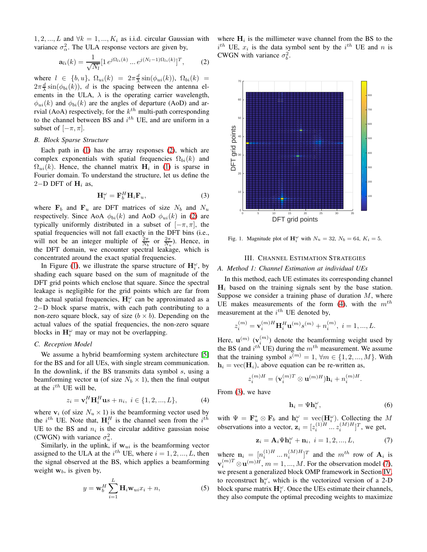1, 2, ..., L and  $\forall k = 1, ..., K_i$  as i.i.d. circular Gaussian with variance  $\sigma_{\alpha}^2$ . The ULA response vectors are given by,

$$
\mathbf{a}_{li}(k) = \frac{1}{\sqrt{N_l}} [1 \, e^{j\Omega_{li}(k)} \dots e^{j(N_l-1)\Omega_{li}(k)}]^T, \qquad (2)
$$

where  $l \in \{b, u\}, \ \Omega_{ui}(k) = 2\pi \frac{d}{\lambda} \sin(\phi_{ui}(k)), \ \Omega_{bi}(k) =$  $2\pi \frac{d}{\lambda} \sin(\phi_{bi}(k))$ , *d* is the spacing between the antenna elements in the ULA,  $\lambda$  is the operating carrier wavelength,  $\phi_{ui}(k)$  and  $\phi_{bi}(k)$  are the angles of departure (AoD) and arrvial (AoA) respectively, for the  $k^{th}$  multi-path corresponding to the channel between BS and  $i^{th}$  UE, and are uniform in a subset of  $[-\pi, \pi]$ .

## *B. Block Sparse Structure*

Each path in [\(1\)](#page-0-0) has the array responses [\(2\)](#page-1-0), which are complex exponentials with spatial frequencies  $\Omega_{bi}(k)$  and  $\Omega_{ui}(k)$ . Hence, the channel matrix  $H_i$  in [\(1\)](#page-0-0) is sparse in Fourier domain. To understand the structure, let us define the 2−D DFT of  $H_i$  as,

$$
\mathbf{H}_{i}^{\omega} = \mathbf{F}_{b}^{H} \mathbf{H}_{i} \mathbf{F}_{u}, \tag{3}
$$

where  $F_b$  and  $F_u$  are DFT matrices of size  $N_b$  and  $N_u$ respectively. Since AoA  $\phi_{bi}(k)$  and AoD  $\phi_{ui}(k)$  in [\(2\)](#page-1-0) are typically uniformly distributed in a subset of  $[-\pi, \pi]$ , the spatial frequencies will not fall exactly in the DFT bins (i.e., will not be an integer multiple of  $\frac{2\pi}{N_b}$  or  $\frac{2\pi}{N_u}$ ). Hence, in the DFT domain, we encounter spectral leakage, which is concentrated around the exact spatial frequencies.

In Figure [\(1\)](#page-1-1), we illustrate the sparse structure of  $\mathbf{H}_{i}^{\omega}$ , by shading each square based on the sum of magnitude of the DFT grid points which enclose that square. Since the spectral leakage is negligible for the grid points which are far from the actual spatial frequencies,  $H_i^{\omega}$  can be approximated as a 2−D block sparse matrix, with each path contributing to a non-zero square block, say of size  $(b \times b)$ . Depending on the actual values of the spatial frequencies, the non-zero square blocks in  $H_i^{\omega}$  may or may not be overlapping.

## *C. Reception Model*

We assume a hybrid beamforming system architecture [\[5\]](#page-4-2) for the BS and for all UEs, with single stream communication. In the downlink, if the BS transmits data symbol  $s$ , using a beamforming vector **u** (of size  $N_b \times 1$ ), then the final output at the  $i^{th}$  UE will be,

$$
z_i = \mathbf{v}_i^H \mathbf{H}_i^H \mathbf{u}_s + n_i, \ i \in \{1, 2, ..., L\},\tag{4}
$$

where  $v_i$  (of size  $N_u \times 1$ ) is the beamforming vector used by the  $i^{th}$  UE. Note that,  $\mathbf{H}_i^H$  is the channel seen from the  $i^{th}$ UE to the BS and  $n_i$  is the circular additive gaussian noise (CWGN) with variance  $\sigma_u^2$ .

Similarly, in the uplink, if  $w_{ui}$  is the beamforming vector assigned to the ULA at the  $i^{th}$  UE, where  $i = 1, 2, ..., L$ , then the signal observed at the BS, which applies a beamforming weight  $w_b$ , is given by,

$$
y = \mathbf{w}_b^H \sum_{i=1}^L \mathbf{H}_i \mathbf{w}_{ui} x_i + n,
$$
 (5)

where  $H_i$  is the millimeter wave channel from the BS to the  $i^{th}$  UE,  $x_i$  is the data symbol sent by the  $i^{th}$  UE and n is CWGN with variance  $\sigma_b^2$ .

<span id="page-1-0"></span>

<span id="page-1-8"></span><span id="page-1-3"></span>Fig. 1. Magnitude plot of  $\mathbf{H}_{i}^{\omega}$  with  $N_u = 32$ ,  $N_b = 64$ ,  $K_i = 5$ .

## <span id="page-1-1"></span>III. CHANNEL ESTIMATION STRATEGIES

# <span id="page-1-7"></span>*A. Method 1: Channel Estimation at individual UEs*

In this method, each UE estimates its corresponding channel  $H_i$  based on the training signals sent by the base station. Suppose we consider a training phase of duration  $M$ , where UE makes measurements of the form [\(4\)](#page-1-2), with the  $m<sup>th</sup>$ measurement at the  $i^{th}$  UE denoted by,

$$
z_i^{(m)} = \mathbf{v}_i^{(m)H} \mathbf{H}_i^H \mathbf{u}^{(m)} s^{(m)} + n_i^{(m)}, \ i = 1, ..., L.
$$

Here,  $\mathbf{u}^{(m)}$  ( $\mathbf{v}_i^{(m)}$ ) denote the beamforming weight used by the BS (and  $i^{th}$  UE) during the  $m^{th}$  measurement. We assume that the training symbol  $s^{(m)} = 1$ ,  $\forall m \in \{1, 2, ..., M\}$ . With  $h_i = \text{vec}(\mathbf{H}_i)$ , above equation can be re-written as,

$$
z_i^{(m)H} = (\mathbf{v}_i^{(m)T} \otimes \mathbf{u}^{(m)H})\mathbf{h}_i + n_i^{(m)H}.
$$

<span id="page-1-2"></span>From [\(3\)](#page-1-3), we have

<span id="page-1-6"></span><span id="page-1-4"></span>
$$
\mathbf{h}_i = \Psi \mathbf{h}_i^{\omega},\tag{6}
$$

with  $\Psi = \mathbf{F}_u^* \otimes \mathbf{F}_b$  and  $\mathbf{h}_i^{\omega} = \text{vec}(\mathbf{H}_i^{\omega})$ . Collecting the M observations into a vector,  $\mathbf{z}_i = [z_i^{(1)H} \dots z_i^{(M)H}]^T$ , we get,

$$
\mathbf{z}_i = \mathbf{A}_i \Psi \mathbf{h}_i^{\omega} + \mathbf{n}_i, \ i = 1, 2, ..., L,
$$
 (7)

<span id="page-1-5"></span>where  $\mathbf{n}_i = [n_i^{(1)H} \dots n_i^{(M)H}]^T$  and the  $m^{th}$  row of  $\mathbf{A}_i$  is  $\mathbf{v}_i^{(m)T} \otimes \mathbf{u}^{(m)H}, m = 1, ..., M$ . For the observation model [\(7\)](#page-1-4), we present a generalized block OMP framework in Section [IV,](#page-3-0) to reconstruct  $h_i^{\omega}$ , which is the vectorized version of a 2-D block sparse matrix  $H_i^{\omega}$ . Once the UEs estimate their channels, they also compute the optimal precoding weights to maximize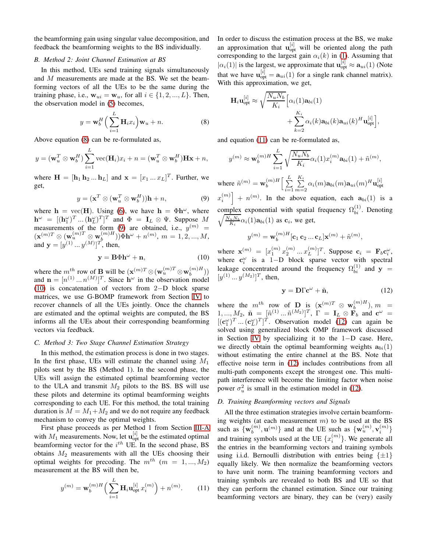the beamforming gain using singular value decomposition, and feedback the beamforming weights to the BS individually.

#### <span id="page-2-6"></span>*B. Method 2: Joint Channel Estimation at BS*

In this method, UEs send training signals simultaneously and M measurements are made at the BS. We set the beamforming vectors of all the UEs to be the same during the training phase, i.e.,  $\mathbf{w}_{ui} = \mathbf{w}_u$ , for all  $i \in \{1, 2, ..., L\}$ . Then, the observation model in [\(5\)](#page-1-5) becomes,

$$
y = \mathbf{w}_b^H \left( \sum_{i=1}^L \mathbf{H}_i x_i \right) \mathbf{w}_u + n.
$$
 (8)

Above equation [\(8\)](#page-2-0) can be re-formulated as,

$$
y = (\mathbf{w}_u^T \otimes \mathbf{w}_b^H) \sum_{i=1}^L \text{vec}(\mathbf{H}_i) x_i + n = (\mathbf{w}_u^T \otimes \mathbf{w}_b^H) \mathbf{H} \mathbf{x} + n,
$$

where  $\mathbf{H} = [\mathbf{h}_1 \, \mathbf{h}_2 \dots \mathbf{h}_L]$  and  $\mathbf{x} = [x_1 \dots x_L]^T$ . Further, we get,

$$
y = (\mathbf{x}^T \otimes (\mathbf{w}_u^T \otimes \mathbf{w}_b^H))\mathbf{h} + n,\tag{9}
$$

where  $h = \text{vec}(H)$ . Using [\(6\)](#page-1-6), we have  $h = \Phi h^{\omega}$ , where  $\mathbf{h}^{\omega} = [(\mathbf{h}^{\omega}_1)^T \dots (\mathbf{h}^{\omega}_L)^T]^T$  and  $\Phi = \mathbf{I}_L \otimes \Psi$ . Suppose M measurements of the form [\(9\)](#page-2-1) are obtained, i.e.,  $y^{(m)} =$  $(\mathbf{x}^{(m)T} \otimes (\mathbf{w}_u^{(m)T} \otimes \mathbf{w}_b^{(m)H})) \Phi \mathbf{h}^{\omega} + n^{(m)}, m = 1, 2, ..., M,$ and  $y = [y^{(1)} \dots y^{(M)}]^T$ , then,

$$
y = B\Phi h^{\omega} + n,\tag{10}
$$

where the  $m^{th}$  row of **B** will be  $(\mathbf{x}^{(m)T} \otimes (\mathbf{w}_u^{(m)T} \otimes \mathbf{w}_b^{(m)H}))$ and  $\mathbf{n} = [n^{(1)} \dots n^{(M)}]^T$ . Since  $\mathbf{h}^{\omega}$  in the observation model [\(10\)](#page-2-2) is concatenation of vectors from 2−D block sparse matrices, we use G-BOMP framework from Section [IV](#page-3-0) to recover channels of all the UEs jointly. Once the channels are estimated and the optimal weights are computed, the BS informs all the UEs about their corresponding beamforming vectors via feedback.

## <span id="page-2-5"></span>*C. Method 3: Two Stage Channel Estimation Strategy*

In this method, the estimation process is done in two stages. In the first phase, UEs will estimate the channel using  $M_1$ pilots sent by the BS (Method 1). In the second phase, the UEs will assign the estimated optimal beamforming vector to the ULA and transmit  $M_2$  pilots to the BS. BS will use these pilots and determine its optimal beamforming weights corresponding to each UE. For this method, the total training duration is  $M = M_1 + M_2$  and we do not require any feedback mechanism to convey the optimal weights.

First phase proceeds as per Method 1 from Section [III-A](#page-1-7) with  $M_1$  measurements. Now, let  $\mathbf{u}_{opt}^{[i]}$  be the estimated optimal beamforming vector for the  $i^{th}$  UE. In the second phase, BS obtains  $M_2$  measurements with all the UEs choosing their optimal weights for precoding. The  $m^{th}$  ( $m = 1, ..., M_2$ ) measurement at the BS will then be,

$$
y^{(m)} = \mathbf{w}_b^{(m)H} \left( \sum_{i=1}^L \mathbf{H}_i \mathbf{u}_{\text{opt}}^{[i]} x_i^{(m)} \right) + n^{(m)}.
$$
 (11)

In order to discuss the estimation process at the BS, we make an approximation that  $\mathbf{u}_{opt}^{[i]}$  will be oriented along the path corresponding to the largest gain  $\alpha_i(k)$  in [\(1\)](#page-0-0). Assuming that  $|\alpha_i(1)|$  is the largest, we approximate that  $\mathbf{u}_{opt}^{[i]} \approx \mathbf{a}_{ui}(1)$  (Note that we have  $\mathbf{u}_{opt}^{[i]} = \mathbf{a}_{ui}(1)$  for a single rank channel matrix). With this approximation, we get,

$$
\mathbf{H}_{i}\mathbf{u}_{\text{opt}}^{[i]} \approx \sqrt{\frac{N_{u}N_{b}}{K_{i}}} \Big[ \alpha_{i}(1)\mathbf{a}_{bi}(1) + \sum_{k=2}^{K_{i}} \alpha_{i}(k)\mathbf{a}_{bi}(k)\mathbf{a}_{ui}(k)^{H}\mathbf{u}_{\text{opt}}^{[i]} \Big],
$$

<span id="page-2-0"></span>and equation [\(11\)](#page-2-3) can be re-formulated as,

$$
y^{(m)} \approx \mathbf{w}_b^{(m)H} \sum_{i=1}^L \sqrt{\frac{N_u N_b}{K_i}} \alpha_i(1) x_i^{(m)} \mathbf{a}_{bi}(1) + \tilde{n}^{(m)},
$$
  
where 
$$
\tilde{n}^{(m)} = \mathbf{w}_b^{(m)H} \Big[ \sum_{i=1}^L \sum_{m=2}^{K_i} \alpha_i(m) \mathbf{a}_{bi}(m) \mathbf{a}_{ui}(m)^H \mathbf{u}_{\text{opt}}^{[i]}
$$

<span id="page-2-1"></span> $x_i^{(m)}$  +  $n^{(m)}$ . In the above equation, each  $a_{bi}(1)$  is a complex exponential with spatial frequency  $\Omega_{hi}^{(1)}$  $b_i^{(1)}$ . Denoting  $\sqrt{\frac{N_u N_b}{K_i}} \alpha_i(1) \mathbf{a}_{bi}(1)$  as  $\mathbf{c}_i$ , we get,

$$
y^{(m)} = \mathbf{w}_b^{(m)H}[\mathbf{c}_1 \, \mathbf{c}_2 \dots \mathbf{c}_L] \mathbf{x}^{(m)} + \tilde{n}^{(m)},
$$

<span id="page-2-2"></span>where  $\mathbf{x}^{(m)} = [x_1^{(m)} x_2^{(m)} ... x_L^{(m)}]^T$ . Suppose  $\mathbf{c}_i = \mathbf{F}_b \mathbf{c}_i^{\omega}$ , where  $\mathbf{c}_i^{\omega}$  is a 1–D block sparse vector with spectral leakage concentrated around the frequency  $\Omega_{bi}^{(1)}$  and  $y =$  $[y^{(1)} \dots y^{(M_2)}]^T$ , then,

<span id="page-2-4"></span>
$$
y = D\Gamma c^{\omega} + \tilde{n}, \qquad (12)
$$

where the  $m^{th}$  row of **D** is  $(\mathbf{x}^{(m)T} \otimes \mathbf{w}_{b}^{(m)H})$ ,  $m =$  $[1, ..., M_2, \tilde{n}] = [\tilde{n}^{(1)} ... \tilde{n}^{(M_2)}]^T$ ,  $\Gamma = I_L \otimes \mathbf{F}_b$  and  $\mathbf{c}^{\omega} =$  $[(\mathbf{c}_1^{\omega})^T \dots (\mathbf{c}_L^{\omega})^T]^T$ . Observation model [\(12\)](#page-2-4) can again be solved using generalized block OMP framework discussed in Section [IV](#page-3-0) by specializing it to the 1−D case. Here, we directly obtain the optimal beamforming weights  $a_{bi}(1)$ without estimating the entire channel at the BS. Note that effective noise term in [\(12\)](#page-2-4) includes contributions from all multi-path components except the strongest one. This multipath interference will become the limiting factor when noise power  $\sigma_u^2$  is small in the estimation model in [\(12\)](#page-2-4).

# *D. Training Beamforming vectors and Signals*

<span id="page-2-3"></span>All the three estimation strategies involve certain beamforming weights (at each measurement  $m$ ) to be used at the BS such as  $\{\mathbf{w}_b^{(m)}, \mathbf{u}^{(m)}\}$  and at the UE such as  $\{\mathbf{w}_u^{(m)}, \mathbf{v}_i^{(m)}\}$ and training symbols used at the UE  $\{x_i^{(m)}\}$ . We generate all the entries in the beamforming vectors and training symbols using i.i.d. Bernoulli distribution with entries being  $\{\pm 1\}$ equally likely. We then normalize the beamforming vectors to have unit norm. The training beamforming vectors and training symbols are revealed to both BS and UE so that they can perform the channel estimation. Since our training beamforming vectors are binary, they can be (very) easily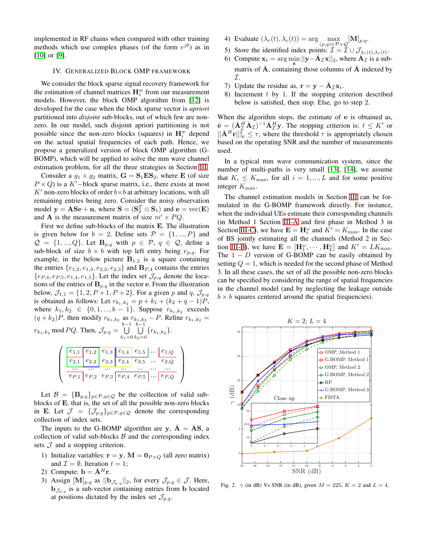implemented in RF chains when compared with other training methods which use complex phases (of the form  $e^{j\theta}$ ) as in [\[10\]](#page-4-6) or [\[9\]](#page-4-5).

#### <span id="page-3-0"></span>IV. GENERALIZED BLOCK OMP FRAMEWORK

We consider the block sparse signal recovery framework for the estimation of channel matrices  $\mathbf{H}_{i}^{w}$  from our measurement models. However, the block OMP algorithm from [\[12\]](#page-4-8) is developed for the case when the block sparse vector is *apriori* partitioned into *disjoint* sub-blocks, out of which few are nonzero. In our model, such disjoint apriori partitioning is not possible since the non-zero blocks (squares) in  $\mathbf{H}_{i}^{w}$  depend on the actual spatial frequencies of each path. Hence, we propose a generalized version of block OMP algorithm (G-BOMP), which will be applied to solve the mm wave channel estimation problem, for all the three strategies in Section [III.](#page-1-8)

Consider a  $g_1 \times g_2$  matrix,  $\mathbf{G} = \mathbf{S}_1 \mathbf{ES}_2$ , where **E** (of size  $P \times Q$ ) is a K'-block sparse matrix, i.e., there exists at most  $K'$  non-zero blocks of order  $b \times b$  at arbitrary locations, with all remaining entries being zero. Consider the noisy observation model  $y = \textbf{A} \textbf{S} \textbf{e} + \textbf{n}$ , where  $\textbf{S} = (\textbf{S}_2^T \otimes \textbf{S}_1)$  and  $\textbf{e} = \text{vec}(\textbf{E})$ and **A** is the measurement matrix of size  $m' \times PQ$ .

First we define sub-blocks of the matrix E. The illustration is given below for  $b = 2$ . Define sets  $\mathcal{P} = \{1, ..., P\}$  and  $\mathcal{Q} = \{1, ..., Q\}$ . Let  $\mathbf{B}_{p,q}$  with  $p \in \mathcal{P}, q \in \mathcal{Q}$ , define a sub-block of size  $b \times b$  with top left entry being  $e_{p,q}$ . For example, in the below picture  $B_{1,2}$  is a square containing the entries  $\{e_{1,2}, e_{1,3}, e_{2,2}, e_{2,3}\}$  and  $\mathbf{B}_{P,4}$  contains the entries  $\{e_{P,4}, e_{P,5}, e_{1,4}, e_{1,5}\}\.$  Let the index set  $\mathcal{J}_{p,q}$  denote the locations of the entries of  $\mathbf{B}_{p,q}$  in the vector e. From the illustration below,  $\mathcal{J}_{1,1} = \{1, 2, P+1, P+2\}$ . For a given p and q,  $\mathcal{J}_{p,q}$ is obtained as follows: Let  $r_{k_1,k_2} = p + k_1 + (k_2 + q - 1)P$ , where  $k_1, k_2 \in \{0, 1, ..., b-1\}$ . Suppose  $r_{k_1, k_2}$  exceeds  $(q + k_2)P$ , then modify  $r_{k_1, k_2}$  as  $r_{k_1, k_2} - P$ . Refine  $r_{k_1, k_2} =$  $r_{k_1,k_2}$  mod PQ. Then,  $\mathcal{J}_{p,q} = \bigcup_{k=1}^{b-1}$  $k_1=0$  $\bigcup^{b-1}$  $\bigcup_{k_2=0} \{r_{k_1,k_2}\}.$ 

$$
\left(\begin{array}{c|c|c|c|c} \hline e_{1,1} & e_{1,2} & e_{1,3} & e_{1,4} & e_{1,5} & \cdots & e_{1,Q} \\ \hline e_{2,1} & e_{2,2} & e_{2,3} & e_{2,4} & e_{2,5} & \cdots & e_{2,Q} \\ \hline \cdots & \cdots & \cdots & \cdots & \cdots & \cdots \\ \hline e_{P,1} & e_{P,2} & e_{P,3} & e_{P,4} & e_{P,5} & \cdots & e_{P,Q} \end{array}\right)
$$

Let  $\mathcal{B} = {\mathbf{B}_{p,q}}_{p \in \mathcal{P}, q \in \mathcal{Q}}$  be the collection of valid subblocks of E, that is, the set of all the possible non-zero blocks in E. Let  $\mathcal{J} = {\mathcal{J}_{p,q}}_{p \in \mathcal{P}, q \in \mathcal{Q}}$  denote the corresponding collection of index sets.

The inputs to the G-BOMP algorithm are y,  $\overline{A} = AS$ , a collection of valid sub-blocks  $B$  and the corresponding index sets  $J$  and a stopping criterion.

- 1) Initialize variables:  $\mathbf{r} = \mathbf{y}$ ,  $\mathbf{M} = \mathbf{0}_{P \times Q}$  (all zero matrix) and  $\mathcal{I} = \emptyset$ . Iteration  $t = 1$ ;
- 2) Compute:  $\mathbf{b} = \bar{\mathbf{A}}^H \mathbf{r}$ .
- 3) Assign  $[\mathbf{M}]_{p,q}$  as  $||\mathbf{b}_{\mathcal{J}_{p,q}}||_2$ , for every  $\mathcal{J}_{p,q} \in \mathcal{J}$ . Here,  $\mathbf{b}_{\mathcal{J}_{p,q}}$  is a sub-vector containing entries from b located at positions dictated by the index set  $\mathcal{J}_{p,q}$ .
- 4) Evaluate  $(\lambda_r(t), \lambda_c(t)) = \arg \max_{(p,q) \in \mathcal{P} \times \mathcal{Q}} [\mathbf{M}]_{p,q}.$
- 5) Store the identified index points:  $\mathcal{I} = \mathcal{I} \cup \mathcal{J}_{\lambda_r(t),\lambda_c(t)}$ .
- 6) Compute  $\mathbf{x}_t = \arg\min_{\mathbf{x}} ||\mathbf{y} \bar{\mathbf{A}}_T \mathbf{x}||_2$ , where  $\bar{\mathbf{A}}_T$  is a submatrix of  $\bar{A}$ , containing those columns of  $\bar{A}$  indexed by I.
- 7) Update the residue as,  $\mathbf{r} = \mathbf{y} \bar{\mathbf{A}}_T \mathbf{x}_t$ .
- 8) Increment  $t$  by 1. If the stopping criterion described below is satisfied, then stop. Else, go to step 2.

When the algorithm stops, the estimate of e is obtained as,  $\hat{\mathbf{e}} = (\bar{\mathbf{A}}_I^H \bar{\mathbf{A}}_I)^{-1} \bar{\mathbf{A}}_I^H \mathbf{y}$ . The stopping criterion is:  $t \leq K'$  or  $||\bar{A}^H\mathbf{r}||_{\infty}^2 \leq \tau$ , where the threshold  $\tau$  is appropriately chosen based on the operating SNR and the number of measurements used.

In a typical mm wave communication system, since the number of multi-paths is very small [\[13\]](#page-4-9), [\[14\]](#page-4-10), we assume that  $K_i \leq K_{\text{max}}$ , for all  $i = 1, ..., L$  and for some positive integer Kmax.

The channel estimation models in Section [III](#page-1-8) can be formulated in the G-BOMP framework directly. For instance, when the individual UEs estimate their corresponding channels (in Method 1 Section [III-A](#page-1-7) and first phase in Method 3 in Section [III-C\)](#page-2-5), we have  $\mathbf{E} = \mathbf{H}_{i}^{\omega}$  and  $K' = K_{\text{max}}$ . In the case of BS jointly estimating all the channels (Method 2 in Sec-tion [III-B\)](#page-2-6), we have  $\mathbf{E} = [\mathbf{H}_{1}^{\omega}, \cdots, \mathbf{H}_{L}^{\omega}]$  and  $K' = LK_{\text{max}}$ . The  $1 - D$  version of G-BOMP can be easily obtained by setting  $Q = 1$ , which is needed for the second phase of Method 3. In all these cases, the set of all the possible non-zero blocks can be specified by considering the range of spatial frequencies in the channel model (and by neglecting the leakage outside  $b \times b$  squares centered around the spatial frequencies).



<span id="page-3-1"></span>Fig. 2.  $\gamma$  (in dB) Vs SNR (in dB), given  $M = 225$ ,  $K = 2$  and  $L = 4$ .